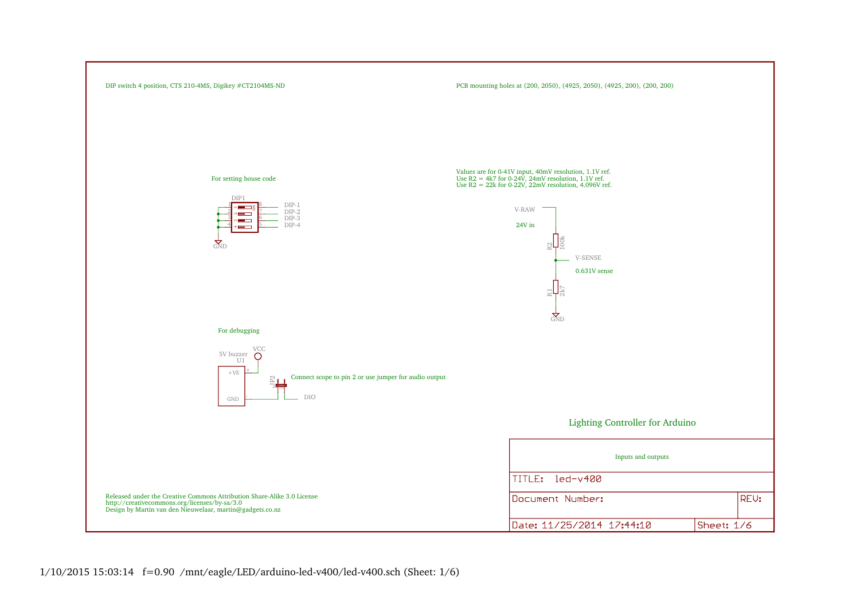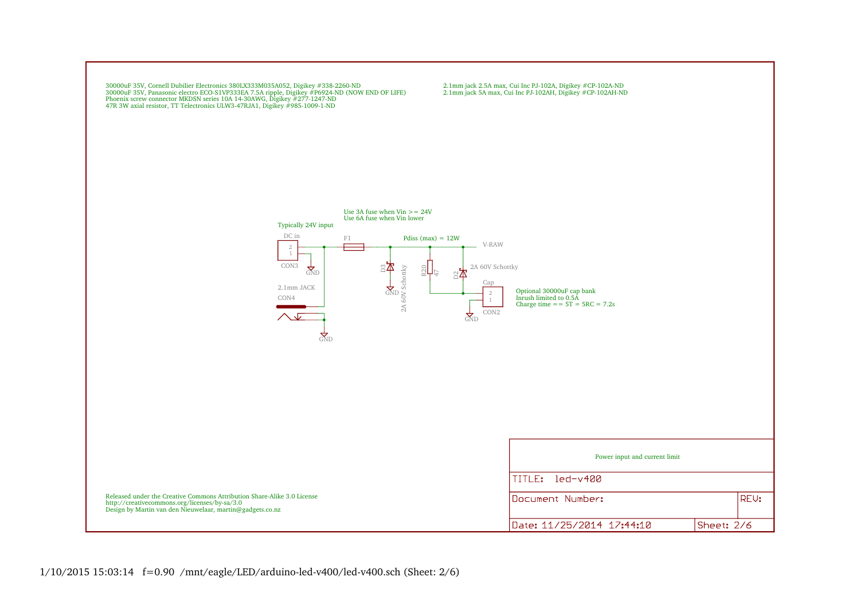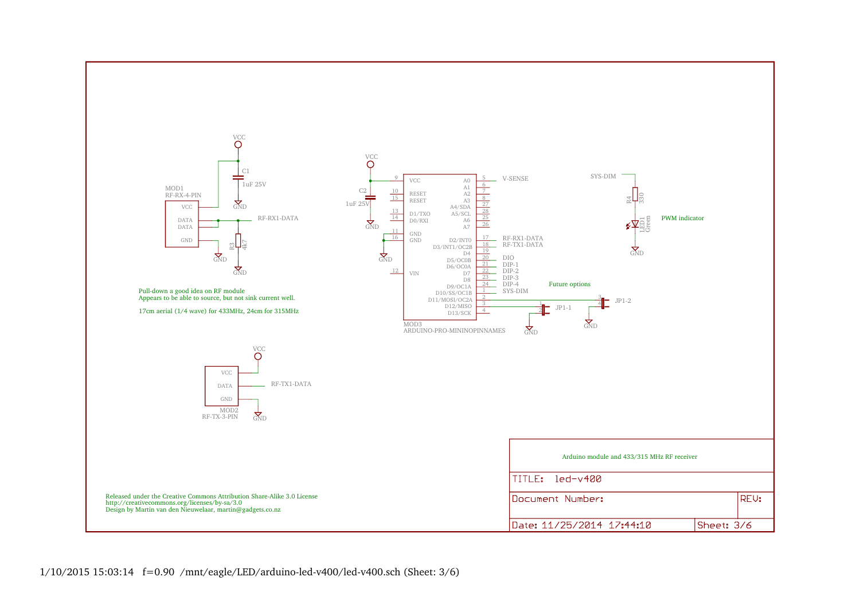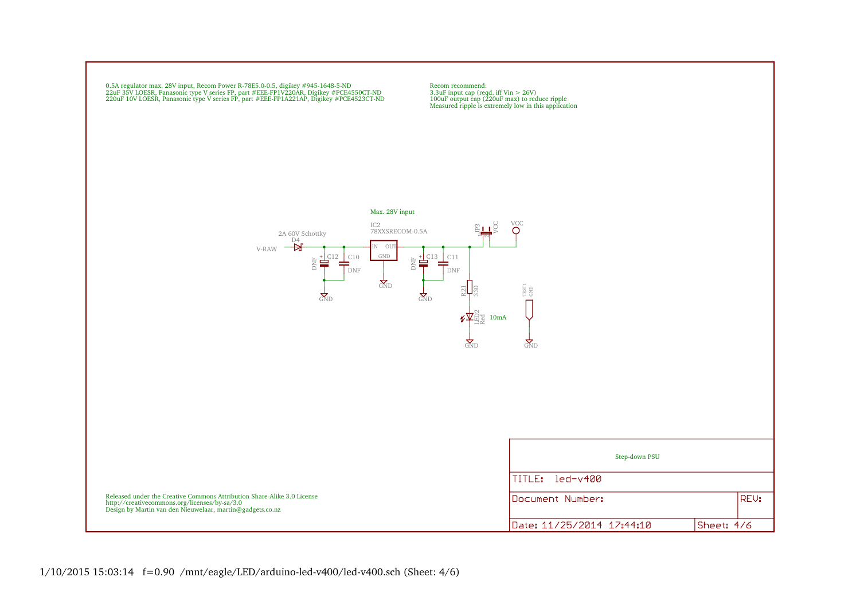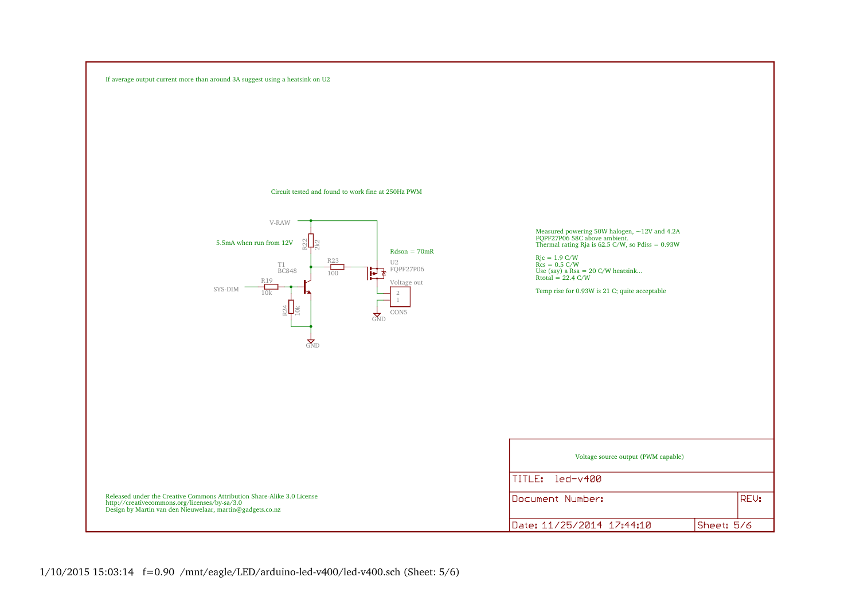